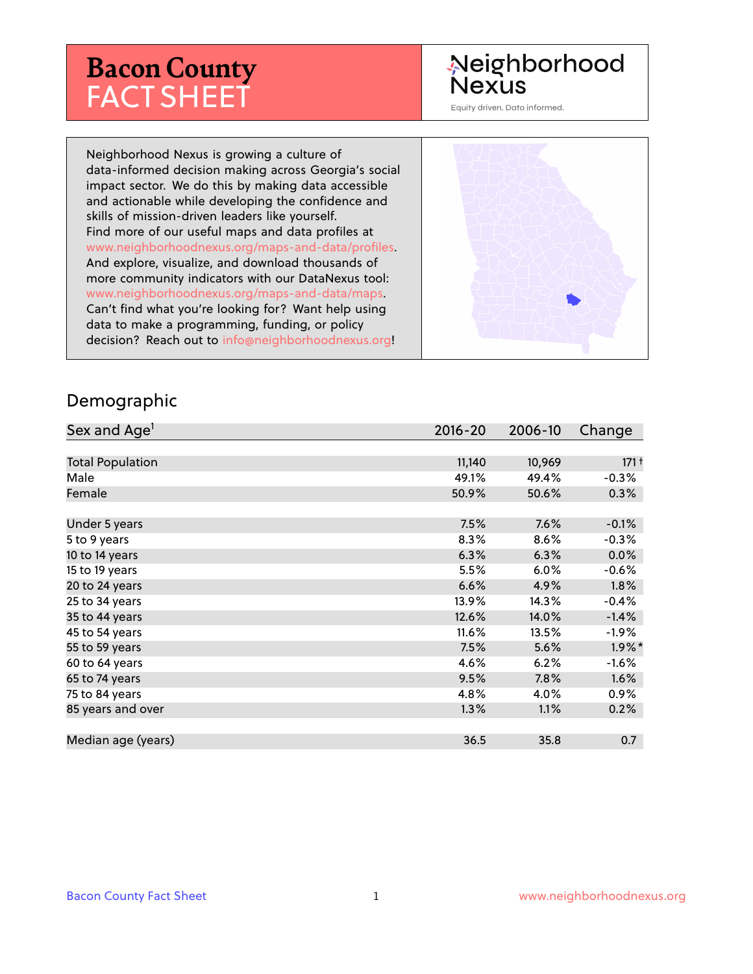# **Bacon County** FACT SHEET

## Neighborhood **Nexus**

Equity driven. Data informed.

Neighborhood Nexus is growing a culture of data-informed decision making across Georgia's social impact sector. We do this by making data accessible and actionable while developing the confidence and skills of mission-driven leaders like yourself. Find more of our useful maps and data profiles at www.neighborhoodnexus.org/maps-and-data/profiles. And explore, visualize, and download thousands of more community indicators with our DataNexus tool: www.neighborhoodnexus.org/maps-and-data/maps. Can't find what you're looking for? Want help using data to make a programming, funding, or policy decision? Reach out to [info@neighborhoodnexus.org!](mailto:info@neighborhoodnexus.org)



### Demographic

| Sex and Age <sup>1</sup> | $2016 - 20$ | 2006-10 | Change    |
|--------------------------|-------------|---------|-----------|
|                          |             |         |           |
| <b>Total Population</b>  | 11,140      | 10,969  | $171 +$   |
| Male                     | 49.1%       | 49.4%   | $-0.3%$   |
| Female                   | 50.9%       | 50.6%   | $0.3\%$   |
|                          |             |         |           |
| Under 5 years            | 7.5%        | 7.6%    | $-0.1%$   |
| 5 to 9 years             | 8.3%        | 8.6%    | $-0.3%$   |
| 10 to 14 years           | 6.3%        | 6.3%    | $0.0\%$   |
| 15 to 19 years           | 5.5%        | 6.0%    | $-0.6%$   |
| 20 to 24 years           | 6.6%        | 4.9%    | 1.8%      |
| 25 to 34 years           | 13.9%       | 14.3%   | $-0.4%$   |
| 35 to 44 years           | 12.6%       | 14.0%   | $-1.4%$   |
| 45 to 54 years           | 11.6%       | 13.5%   | $-1.9\%$  |
| 55 to 59 years           | 7.5%        | 5.6%    | $1.9\%$ * |
| 60 to 64 years           | 4.6%        | 6.2%    | $-1.6%$   |
| 65 to 74 years           | 9.5%        | $7.8\%$ | 1.6%      |
| 75 to 84 years           | 4.8%        | 4.0%    | $0.9\%$   |
| 85 years and over        | 1.3%        | 1.1%    | 0.2%      |
|                          |             |         |           |
| Median age (years)       | 36.5        | 35.8    | 0.7       |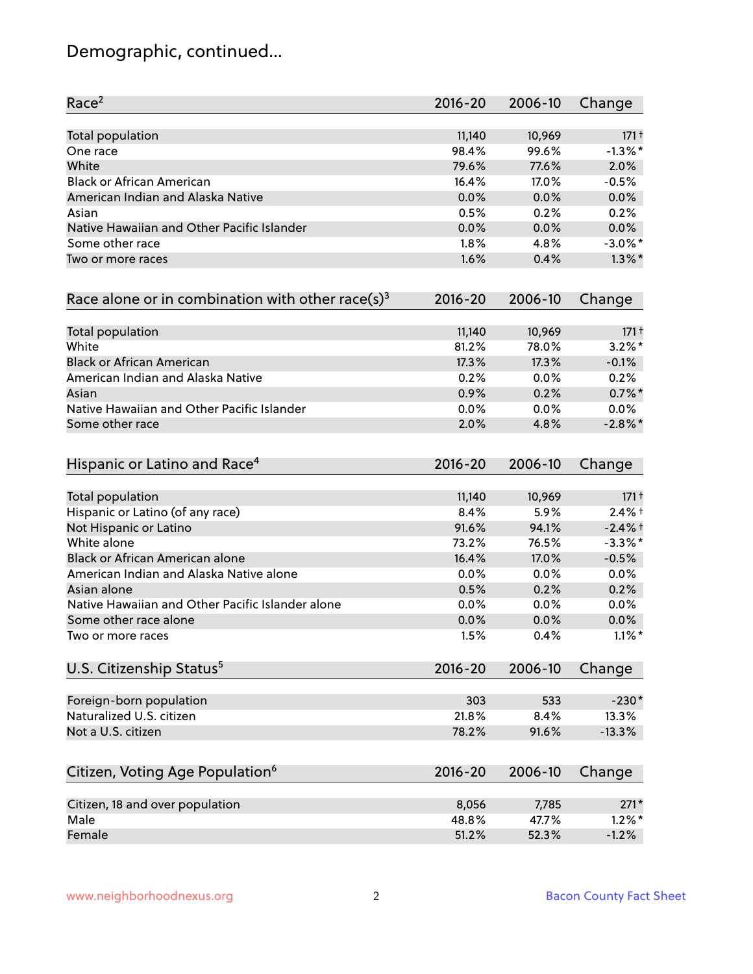## Demographic, continued...

| Race <sup>2</sup>                                   | $2016 - 20$ | 2006-10 | Change     |
|-----------------------------------------------------|-------------|---------|------------|
| <b>Total population</b>                             | 11,140      | 10,969  | $171 +$    |
| One race                                            | 98.4%       | 99.6%   | $-1.3\%$ * |
| White                                               | 79.6%       | 77.6%   | 2.0%       |
| <b>Black or African American</b>                    | 16.4%       | 17.0%   | $-0.5%$    |
| American Indian and Alaska Native                   | 0.0%        | 0.0%    | 0.0%       |
| Asian                                               | 0.5%        | 0.2%    | 0.2%       |
| Native Hawaiian and Other Pacific Islander          | 0.0%        | 0.0%    | 0.0%       |
| Some other race                                     | 1.8%        | 4.8%    | $-3.0\%$ * |
| Two or more races                                   | 1.6%        | 0.4%    | $1.3\%$ *  |
| Race alone or in combination with other race(s) $3$ | $2016 - 20$ | 2006-10 | Change     |
| Total population                                    | 11,140      | 10,969  | $171 +$    |
| White                                               | 81.2%       | 78.0%   | $3.2\%$ *  |
| <b>Black or African American</b>                    | 17.3%       | 17.3%   | $-0.1%$    |
| American Indian and Alaska Native                   | 0.2%        | 0.0%    | 0.2%       |
| Asian                                               | 0.9%        | 0.2%    | $0.7\%$ *  |
| Native Hawaiian and Other Pacific Islander          | 0.0%        | 0.0%    | 0.0%       |
| Some other race                                     | 2.0%        | 4.8%    | $-2.8\%$ * |
| Hispanic or Latino and Race <sup>4</sup>            | $2016 - 20$ | 2006-10 | Change     |
| <b>Total population</b>                             | 11,140      | 10,969  | $171 +$    |
| Hispanic or Latino (of any race)                    | 8.4%        | 5.9%    | $2.4%$ +   |
| Not Hispanic or Latino                              | 91.6%       | 94.1%   | $-2.4%$ †  |
| White alone                                         | 73.2%       | 76.5%   | $-3.3\%$ * |
| Black or African American alone                     | 16.4%       | 17.0%   | $-0.5%$    |
| American Indian and Alaska Native alone             | 0.0%        | $0.0\%$ | 0.0%       |
| Asian alone                                         | 0.5%        | 0.2%    | 0.2%       |
| Native Hawaiian and Other Pacific Islander alone    | 0.0%        | 0.0%    | 0.0%       |
| Some other race alone                               | 0.0%        | 0.0%    | 0.0%       |
| Two or more races                                   | 1.5%        | 0.4%    | $1.1\%$ *  |
| U.S. Citizenship Status <sup>5</sup>                | $2016 - 20$ | 2006-10 | Change     |
| Foreign-born population                             | 303         | 533     | $-230*$    |
| Naturalized U.S. citizen                            | 21.8%       | 8.4%    | 13.3%      |
| Not a U.S. citizen                                  | 78.2%       | 91.6%   | $-13.3%$   |
|                                                     | $2016 - 20$ |         |            |
| Citizen, Voting Age Population <sup>6</sup>         |             | 2006-10 | Change     |
| Citizen, 18 and over population                     | 8,056       | 7,785   | $271*$     |
| Male                                                | 48.8%       | 47.7%   | $1.2\%$ *  |
| Female                                              | 51.2%       | 52.3%   | $-1.2%$    |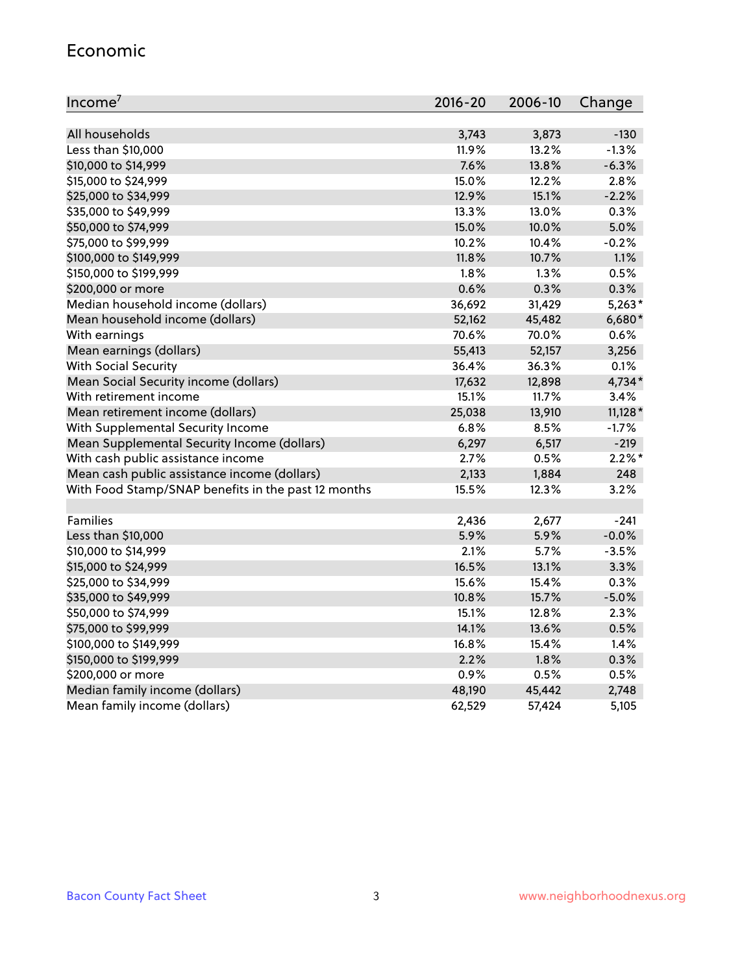#### Economic

| Income <sup>7</sup>                                 | $2016 - 20$ | 2006-10 | Change    |
|-----------------------------------------------------|-------------|---------|-----------|
|                                                     |             |         |           |
| All households                                      | 3,743       | 3,873   | $-130$    |
| Less than \$10,000                                  | 11.9%       | 13.2%   | $-1.3%$   |
| \$10,000 to \$14,999                                | 7.6%        | 13.8%   | $-6.3%$   |
| \$15,000 to \$24,999                                | 15.0%       | 12.2%   | 2.8%      |
| \$25,000 to \$34,999                                | 12.9%       | 15.1%   | $-2.2%$   |
| \$35,000 to \$49,999                                | 13.3%       | 13.0%   | 0.3%      |
| \$50,000 to \$74,999                                | 15.0%       | 10.0%   | 5.0%      |
| \$75,000 to \$99,999                                | 10.2%       | 10.4%   | $-0.2%$   |
| \$100,000 to \$149,999                              | 11.8%       | 10.7%   | 1.1%      |
| \$150,000 to \$199,999                              | 1.8%        | 1.3%    | 0.5%      |
| \$200,000 or more                                   | 0.6%        | 0.3%    | 0.3%      |
| Median household income (dollars)                   | 36,692      | 31,429  | $5,263*$  |
| Mean household income (dollars)                     | 52,162      | 45,482  | $6,680*$  |
| With earnings                                       | 70.6%       | 70.0%   | 0.6%      |
| Mean earnings (dollars)                             | 55,413      | 52,157  | 3,256     |
| <b>With Social Security</b>                         | 36.4%       | 36.3%   | 0.1%      |
| Mean Social Security income (dollars)               | 17,632      | 12,898  | 4,734*    |
| With retirement income                              | 15.1%       | 11.7%   | 3.4%      |
| Mean retirement income (dollars)                    | 25,038      | 13,910  | $11,128*$ |
| With Supplemental Security Income                   | 6.8%        | 8.5%    | $-1.7%$   |
| Mean Supplemental Security Income (dollars)         | 6,297       | 6,517   | $-219$    |
| With cash public assistance income                  | 2.7%        | 0.5%    | $2.2\%$ * |
| Mean cash public assistance income (dollars)        | 2,133       | 1,884   | 248       |
| With Food Stamp/SNAP benefits in the past 12 months | 15.5%       | 12.3%   | 3.2%      |
|                                                     |             |         |           |
| Families                                            | 2,436       | 2,677   | $-241$    |
| Less than \$10,000                                  | 5.9%        | 5.9%    | $-0.0%$   |
| \$10,000 to \$14,999                                | 2.1%        | 5.7%    | $-3.5%$   |
| \$15,000 to \$24,999                                | 16.5%       | 13.1%   | 3.3%      |
| \$25,000 to \$34,999                                | 15.6%       | 15.4%   | 0.3%      |
| \$35,000 to \$49,999                                | 10.8%       | 15.7%   | $-5.0%$   |
| \$50,000 to \$74,999                                | 15.1%       | 12.8%   | 2.3%      |
| \$75,000 to \$99,999                                | 14.1%       | 13.6%   | 0.5%      |
| \$100,000 to \$149,999                              | 16.8%       | 15.4%   | 1.4%      |
| \$150,000 to \$199,999                              | 2.2%        | 1.8%    | 0.3%      |
| \$200,000 or more                                   | 0.9%        | 0.5%    | 0.5%      |
| Median family income (dollars)                      | 48,190      | 45,442  | 2,748     |
| Mean family income (dollars)                        | 62,529      | 57,424  | 5,105     |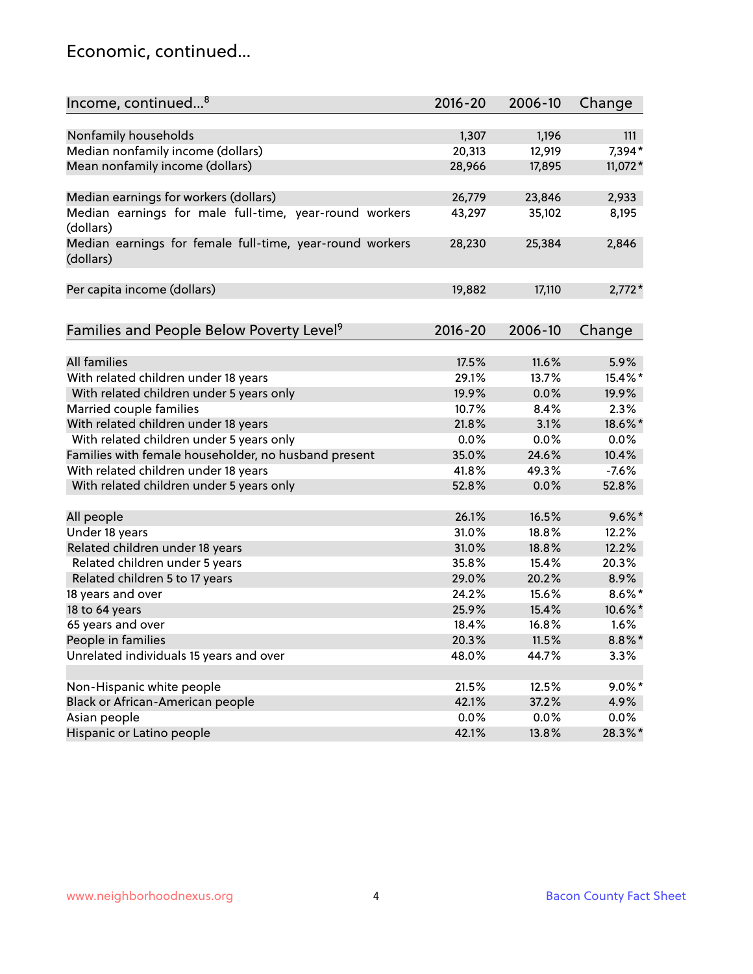## Economic, continued...

| Income, continued <sup>8</sup>                           | $2016 - 20$ | 2006-10 | Change    |
|----------------------------------------------------------|-------------|---------|-----------|
|                                                          |             |         |           |
| Nonfamily households                                     | 1,307       | 1,196   | 111       |
| Median nonfamily income (dollars)                        | 20,313      | 12,919  | 7,394*    |
| Mean nonfamily income (dollars)                          | 28,966      | 17,895  | 11,072*   |
|                                                          |             |         |           |
| Median earnings for workers (dollars)                    | 26,779      | 23,846  | 2,933     |
| Median earnings for male full-time, year-round workers   | 43,297      | 35,102  | 8,195     |
| (dollars)                                                |             |         |           |
| Median earnings for female full-time, year-round workers | 28,230      | 25,384  | 2,846     |
| (dollars)                                                |             |         |           |
|                                                          |             |         |           |
| Per capita income (dollars)                              | 19,882      | 17,110  | $2,772*$  |
|                                                          |             |         |           |
| Families and People Below Poverty Level <sup>9</sup>     | $2016 - 20$ | 2006-10 | Change    |
|                                                          |             |         |           |
| <b>All families</b>                                      | 17.5%       | 11.6%   | 5.9%      |
| With related children under 18 years                     | 29.1%       | 13.7%   | 15.4%*    |
| With related children under 5 years only                 | 19.9%       | 0.0%    | 19.9%     |
| Married couple families                                  | 10.7%       | 8.4%    | 2.3%      |
| With related children under 18 years                     | 21.8%       | 3.1%    | 18.6%*    |
| With related children under 5 years only                 | 0.0%        | 0.0%    | 0.0%      |
| Families with female householder, no husband present     | 35.0%       | 24.6%   | 10.4%     |
| With related children under 18 years                     | 41.8%       | 49.3%   | $-7.6%$   |
| With related children under 5 years only                 | 52.8%       | 0.0%    | 52.8%     |
|                                                          | 26.1%       | 16.5%   | $9.6\%$ * |
| All people                                               |             |         |           |
| Under 18 years                                           | 31.0%       | 18.8%   | 12.2%     |
| Related children under 18 years                          | 31.0%       | 18.8%   | 12.2%     |
| Related children under 5 years                           | 35.8%       | 15.4%   | 20.3%     |
| Related children 5 to 17 years                           | 29.0%       | 20.2%   | 8.9%      |
| 18 years and over                                        | 24.2%       | 15.6%   | $8.6\%$ * |
| 18 to 64 years                                           | 25.9%       | 15.4%   | 10.6%*    |
| 65 years and over                                        | 18.4%       | 16.8%   | 1.6%      |
| People in families                                       | 20.3%       | 11.5%   | $8.8\%$ * |
| Unrelated individuals 15 years and over                  | 48.0%       | 44.7%   | 3.3%      |
|                                                          |             |         |           |
| Non-Hispanic white people                                | 21.5%       | 12.5%   | $9.0\%$ * |
| Black or African-American people                         | 42.1%       | 37.2%   | 4.9%      |
| Asian people                                             | 0.0%        | 0.0%    | $0.0\%$   |
| Hispanic or Latino people                                | 42.1%       | 13.8%   | 28.3%*    |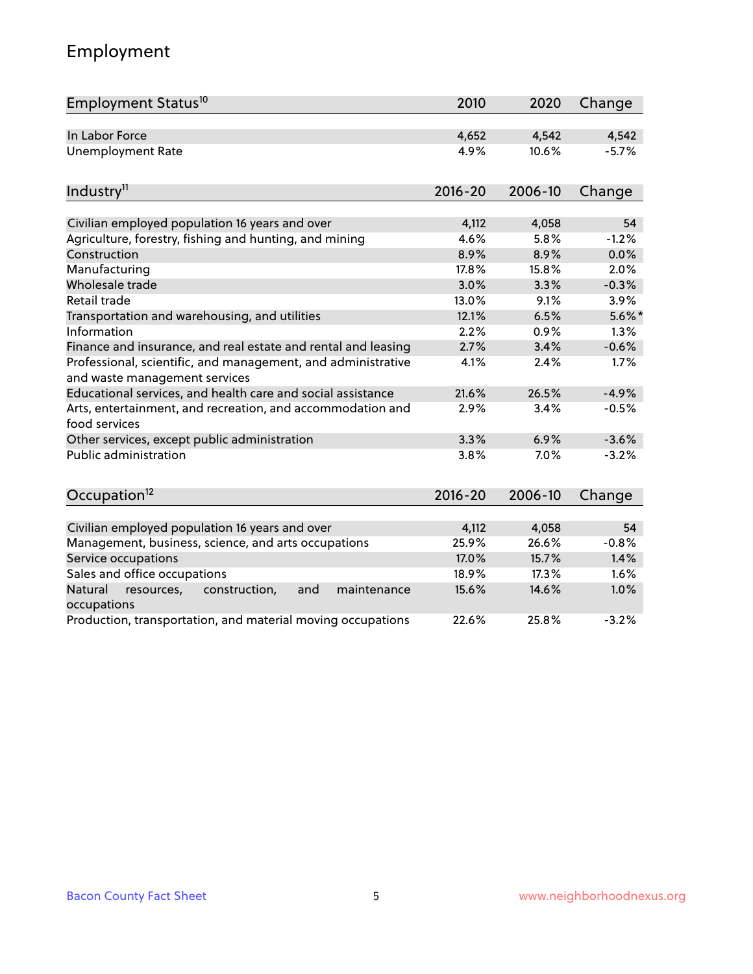## Employment

| Employment Status <sup>10</sup>                                                               | 2010        | 2020    | Change    |
|-----------------------------------------------------------------------------------------------|-------------|---------|-----------|
| In Labor Force                                                                                | 4,652       | 4,542   | 4,542     |
| <b>Unemployment Rate</b>                                                                      | 4.9%        | 10.6%   | $-5.7%$   |
|                                                                                               |             |         |           |
| Industry <sup>11</sup>                                                                        | $2016 - 20$ | 2006-10 | Change    |
| Civilian employed population 16 years and over                                                | 4,112       | 4,058   | 54        |
| Agriculture, forestry, fishing and hunting, and mining                                        | 4.6%        | 5.8%    | $-1.2%$   |
| Construction                                                                                  | 8.9%        | 8.9%    | 0.0%      |
| Manufacturing                                                                                 | 17.8%       | 15.8%   | 2.0%      |
| Wholesale trade                                                                               | 3.0%        | 3.3%    | $-0.3%$   |
| <b>Retail trade</b>                                                                           | 13.0%       | 9.1%    | 3.9%      |
| Transportation and warehousing, and utilities                                                 | 12.1%       | 6.5%    | $5.6\%$ * |
| Information                                                                                   | 2.2%        | 0.9%    | 1.3%      |
| Finance and insurance, and real estate and rental and leasing                                 | 2.7%        | 3.4%    | $-0.6%$   |
| Professional, scientific, and management, and administrative<br>and waste management services | 4.1%        | 2.4%    | 1.7%      |
| Educational services, and health care and social assistance                                   | 21.6%       | 26.5%   | $-4.9%$   |
| Arts, entertainment, and recreation, and accommodation and<br>food services                   | 2.9%        | 3.4%    | $-0.5%$   |
| Other services, except public administration                                                  | 3.3%        | 6.9%    | $-3.6%$   |
| <b>Public administration</b>                                                                  | 3.8%        | 7.0%    | $-3.2%$   |
| Occupation <sup>12</sup>                                                                      | $2016 - 20$ | 2006-10 | Change    |
|                                                                                               |             |         |           |
| Civilian employed population 16 years and over                                                | 4,112       | 4,058   | 54        |
| Management, business, science, and arts occupations                                           | 25.9%       | 26.6%   | $-0.8%$   |
| Service occupations                                                                           | 17.0%       | 15.7%   | 1.4%      |
| Sales and office occupations                                                                  | 18.9%       | 17.3%   | 1.6%      |
| Natural<br>resources,<br>construction,<br>and<br>maintenance<br>occupations                   | 15.6%       | 14.6%   | 1.0%      |
| Production, transportation, and material moving occupations                                   | 22.6%       | 25.8%   | $-3.2%$   |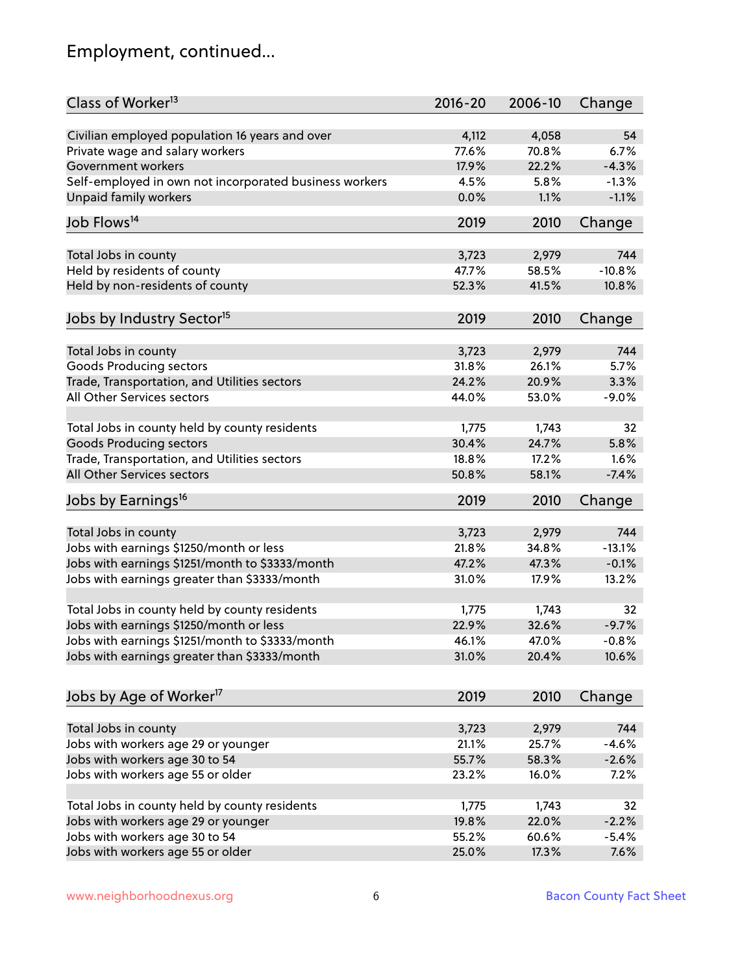## Employment, continued...

| Class of Worker <sup>13</sup>                          | $2016 - 20$ | 2006-10 | Change   |
|--------------------------------------------------------|-------------|---------|----------|
| Civilian employed population 16 years and over         | 4,112       | 4,058   | 54       |
| Private wage and salary workers                        | 77.6%       | 70.8%   | 6.7%     |
| Government workers                                     | 17.9%       | 22.2%   | $-4.3%$  |
| Self-employed in own not incorporated business workers | 4.5%        | 5.8%    | $-1.3%$  |
| Unpaid family workers                                  | 0.0%        | 1.1%    | $-1.1%$  |
|                                                        |             |         |          |
| Job Flows <sup>14</sup>                                | 2019        | 2010    | Change   |
| Total Jobs in county                                   | 3,723       | 2,979   | 744      |
| Held by residents of county                            | 47.7%       | 58.5%   | $-10.8%$ |
| Held by non-residents of county                        | 52.3%       | 41.5%   | 10.8%    |
|                                                        |             |         |          |
| Jobs by Industry Sector <sup>15</sup>                  | 2019        | 2010    | Change   |
| Total Jobs in county                                   | 3,723       | 2,979   | 744      |
| Goods Producing sectors                                | 31.8%       | 26.1%   | 5.7%     |
| Trade, Transportation, and Utilities sectors           | 24.2%       | 20.9%   | 3.3%     |
| All Other Services sectors                             | 44.0%       | 53.0%   | $-9.0%$  |
|                                                        |             |         |          |
| Total Jobs in county held by county residents          | 1,775       | 1,743   | 32       |
| <b>Goods Producing sectors</b>                         | 30.4%       | 24.7%   | 5.8%     |
| Trade, Transportation, and Utilities sectors           | 18.8%       | 17.2%   | 1.6%     |
| All Other Services sectors                             | 50.8%       | 58.1%   | $-7.4%$  |
| Jobs by Earnings <sup>16</sup>                         | 2019        | 2010    | Change   |
|                                                        |             |         |          |
| Total Jobs in county                                   | 3,723       | 2,979   | 744      |
| Jobs with earnings \$1250/month or less                | 21.8%       | 34.8%   | $-13.1%$ |
| Jobs with earnings \$1251/month to \$3333/month        | 47.2%       | 47.3%   | $-0.1%$  |
| Jobs with earnings greater than \$3333/month           | 31.0%       | 17.9%   | 13.2%    |
| Total Jobs in county held by county residents          | 1,775       | 1,743   | 32       |
| Jobs with earnings \$1250/month or less                | 22.9%       | 32.6%   | $-9.7%$  |
| Jobs with earnings \$1251/month to \$3333/month        | 46.1%       | 47.0%   | $-0.8\%$ |
| Jobs with earnings greater than \$3333/month           | 31.0%       | 20.4%   | 10.6%    |
|                                                        |             |         |          |
| Jobs by Age of Worker <sup>17</sup>                    | 2019        | 2010    | Change   |
|                                                        |             |         |          |
| Total Jobs in county                                   | 3,723       | 2,979   | 744      |
| Jobs with workers age 29 or younger                    | 21.1%       | 25.7%   | $-4.6%$  |
| Jobs with workers age 30 to 54                         | 55.7%       | 58.3%   | $-2.6%$  |
| Jobs with workers age 55 or older                      | 23.2%       | 16.0%   | 7.2%     |
| Total Jobs in county held by county residents          | 1,775       | 1,743   | 32       |
| Jobs with workers age 29 or younger                    | 19.8%       | 22.0%   | $-2.2%$  |
| Jobs with workers age 30 to 54                         | 55.2%       | 60.6%   | $-5.4%$  |
| Jobs with workers age 55 or older                      | 25.0%       | 17.3%   | 7.6%     |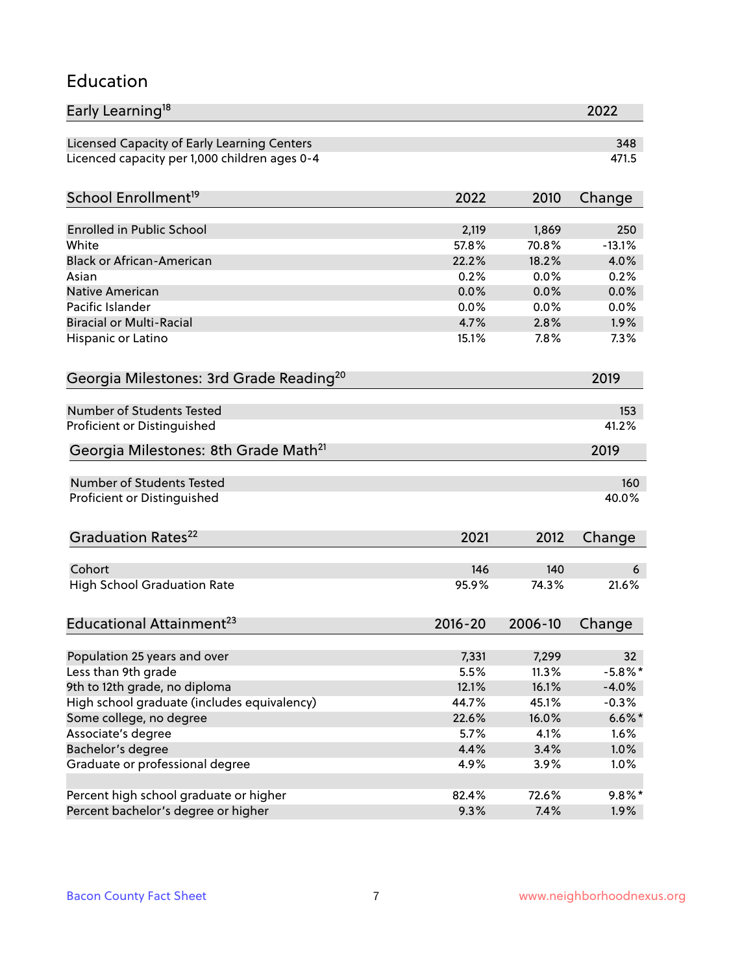#### Education

| Early Learning <sup>18</sup>                         |             |         | 2022       |
|------------------------------------------------------|-------------|---------|------------|
| Licensed Capacity of Early Learning Centers          |             |         | 348        |
| Licenced capacity per 1,000 children ages 0-4        |             |         | 471.5      |
| School Enrollment <sup>19</sup>                      | 2022        | 2010    | Change     |
|                                                      |             |         |            |
| <b>Enrolled in Public School</b>                     | 2,119       | 1,869   | 250        |
| White                                                | 57.8%       | 70.8%   | $-13.1%$   |
| <b>Black or African-American</b>                     | 22.2%       | 18.2%   | 4.0%       |
| Asian                                                | 0.2%        | 0.0%    | 0.2%       |
| <b>Native American</b>                               | 0.0%        | 0.0%    | 0.0%       |
| Pacific Islander                                     | 0.0%        | 0.0%    | 0.0%       |
| <b>Biracial or Multi-Racial</b>                      | 4.7%        | 2.8%    | 1.9%       |
| Hispanic or Latino                                   | 15.1%       | 7.8%    | 7.3%       |
| Georgia Milestones: 3rd Grade Reading <sup>20</sup>  |             |         | 2019       |
| <b>Number of Students Tested</b>                     |             |         |            |
|                                                      |             |         | 153        |
| Proficient or Distinguished                          |             |         | 41.2%      |
| Georgia Milestones: 8th Grade Math <sup>21</sup>     |             |         | 2019       |
| <b>Number of Students Tested</b>                     |             |         | 160        |
| Proficient or Distinguished                          |             |         | 40.0%      |
| Graduation Rates <sup>22</sup>                       | 2021        | 2012    | Change     |
|                                                      |             |         |            |
| Cohort                                               | 146         | 140     | 6          |
| <b>High School Graduation Rate</b>                   | 95.9%       | 74.3%   | 21.6%      |
| Educational Attainment <sup>23</sup>                 | $2016 - 20$ | 2006-10 | Change     |
| Population 25 years and over                         | 7,331       | 7,299   | 32         |
| Less than 9th grade                                  | 5.5%        | 11.3%   | $-5.8\%$ * |
| 9th to 12th grade, no diploma                        | 12.1%       | 16.1%   | $-4.0%$    |
| High school graduate (includes equivalency)          | 44.7%       | 45.1%   | $-0.3%$    |
| Some college, no degree                              | 22.6%       | 16.0%   | $6.6\%$ *  |
| Associate's degree                                   | 5.7%        | 4.1%    | 1.6%       |
|                                                      |             | 3.4%    |            |
| Bachelor's degree<br>Graduate or professional degree | 4.4%        |         | 1.0%       |
|                                                      | 4.9%        | 3.9%    | 1.0%       |
| Percent high school graduate or higher               | 82.4%       | 72.6%   | $9.8\%$ *  |
| Percent bachelor's degree or higher                  | 9.3%        | 7.4%    | 1.9%       |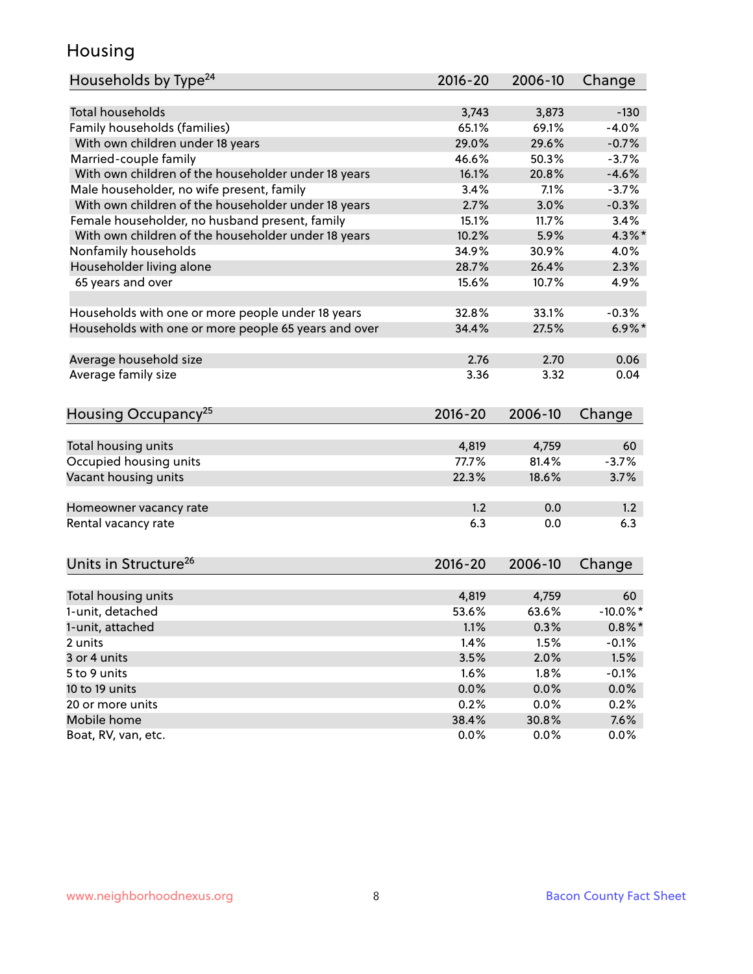## Housing

| Households by Type <sup>24</sup>                     | $2016 - 20$ | 2006-10 | Change      |
|------------------------------------------------------|-------------|---------|-------------|
|                                                      |             |         |             |
| <b>Total households</b>                              | 3,743       | 3,873   | $-130$      |
| Family households (families)                         | 65.1%       | 69.1%   | $-4.0%$     |
| With own children under 18 years                     | 29.0%       | 29.6%   | $-0.7%$     |
| Married-couple family                                | 46.6%       | 50.3%   | $-3.7%$     |
| With own children of the householder under 18 years  | 16.1%       | 20.8%   | $-4.6%$     |
| Male householder, no wife present, family            | 3.4%        | 7.1%    | $-3.7%$     |
| With own children of the householder under 18 years  | 2.7%        | 3.0%    | $-0.3%$     |
| Female householder, no husband present, family       | 15.1%       | 11.7%   | 3.4%        |
| With own children of the householder under 18 years  | 10.2%       | 5.9%    | $4.3\%$ *   |
| Nonfamily households                                 | 34.9%       | 30.9%   | 4.0%        |
| Householder living alone                             | 28.7%       | 26.4%   | 2.3%        |
| 65 years and over                                    | 15.6%       | 10.7%   | 4.9%        |
| Households with one or more people under 18 years    | 32.8%       | 33.1%   | $-0.3%$     |
| Households with one or more people 65 years and over | 34.4%       | 27.5%   | $6.9\%$ *   |
| Average household size                               | 2.76        | 2.70    | 0.06        |
|                                                      | 3.36        | 3.32    | 0.04        |
| Average family size                                  |             |         |             |
| Housing Occupancy <sup>25</sup>                      | $2016 - 20$ | 2006-10 | Change      |
| Total housing units                                  | 4,819       | 4,759   | 60          |
| Occupied housing units                               | 77.7%       | 81.4%   | $-3.7%$     |
| Vacant housing units                                 | 22.3%       | 18.6%   | 3.7%        |
|                                                      |             |         |             |
| Homeowner vacancy rate                               | 1.2         | 0.0     | 1.2         |
| Rental vacancy rate                                  | 6.3         | 0.0     | 6.3         |
| Units in Structure <sup>26</sup>                     | 2016-20     | 2006-10 | Change      |
| Total housing units                                  | 4,819       | 4,759   | 60          |
| 1-unit, detached                                     | 53.6%       | 63.6%   | $-10.0\%$ * |
| 1-unit, attached                                     | 1.1%        | 0.3%    | $0.8\%$ *   |
| 2 units                                              | 1.4%        | 1.5%    | $-0.1%$     |
| 3 or 4 units                                         | 3.5%        | 2.0%    | 1.5%        |
| 5 to 9 units                                         | 1.6%        | 1.8%    | $-0.1%$     |
| 10 to 19 units                                       | 0.0%        | 0.0%    | 0.0%        |
| 20 or more units                                     | 0.2%        | 0.0%    | 0.2%        |
| Mobile home                                          | 38.4%       | 30.8%   | 7.6%        |
| Boat, RV, van, etc.                                  | 0.0%        | 0.0%    | 0.0%        |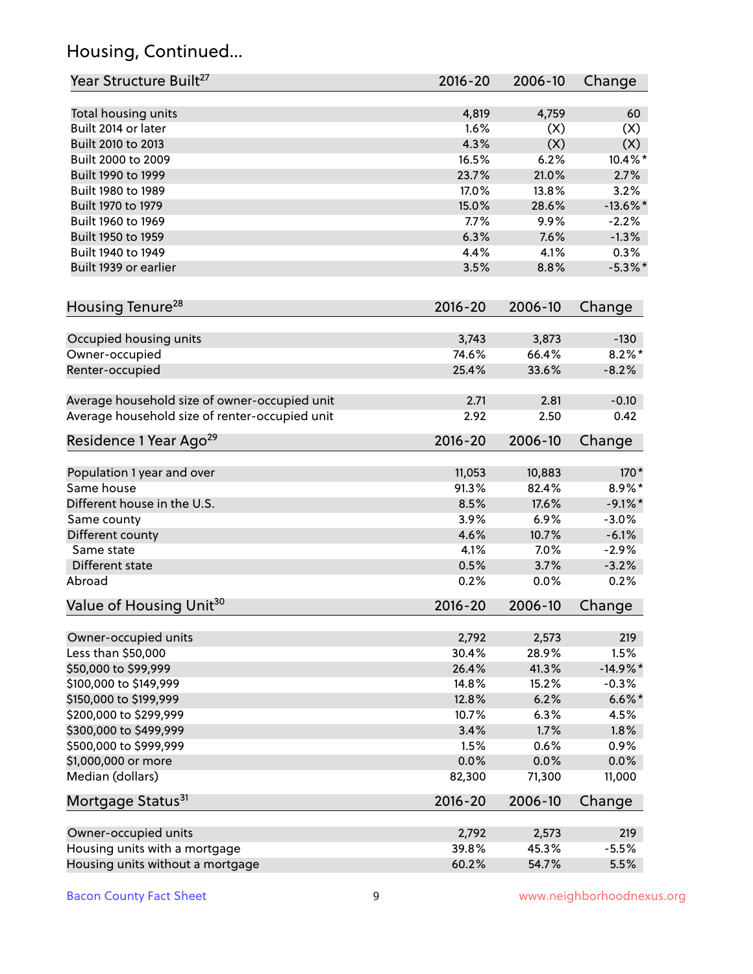## Housing, Continued...

| Year Structure Built <sup>27</sup>             | 2016-20      | 2006-10       | Change                |
|------------------------------------------------|--------------|---------------|-----------------------|
| Total housing units                            | 4,819        | 4,759         | 60                    |
| Built 2014 or later                            | 1.6%         | (X)           | (X)                   |
| Built 2010 to 2013                             | 4.3%         | (X)           | (X)                   |
| Built 2000 to 2009                             | 16.5%        | 6.2%          | 10.4%*                |
| Built 1990 to 1999                             | 23.7%        | 21.0%         | 2.7%                  |
| Built 1980 to 1989                             | 17.0%        | 13.8%         | 3.2%                  |
| Built 1970 to 1979                             | 15.0%        | 28.6%         | $-13.6\%$ *           |
| Built 1960 to 1969                             | 7.7%         | 9.9%          | $-2.2%$               |
| Built 1950 to 1959                             | 6.3%         | 7.6%          | $-1.3%$               |
| Built 1940 to 1949                             | 4.4%         | 4.1%          | 0.3%                  |
| Built 1939 or earlier                          | 3.5%         | 8.8%          | $-5.3\%$ *            |
|                                                |              |               |                       |
| Housing Tenure <sup>28</sup>                   | $2016 - 20$  | 2006-10       | Change                |
| Occupied housing units                         | 3,743        | 3,873         | $-130$                |
| Owner-occupied                                 | 74.6%        | 66.4%         | $8.2\%$ *             |
| Renter-occupied                                | 25.4%        | 33.6%         | $-8.2%$               |
|                                                |              |               |                       |
| Average household size of owner-occupied unit  | 2.71         | 2.81          | $-0.10$               |
| Average household size of renter-occupied unit | 2.92         | 2.50          | 0.42                  |
| Residence 1 Year Ago <sup>29</sup>             | 2016-20      | 2006-10       | Change                |
|                                                | 11,053       | 10,883        | $170*$                |
| Population 1 year and over<br>Same house       | 91.3%        | 82.4%         | 8.9%*                 |
| Different house in the U.S.                    |              | 17.6%         |                       |
|                                                | 8.5%<br>3.9% | 6.9%          | $-9.1\%$ *<br>$-3.0%$ |
| Same county                                    |              |               |                       |
| Different county<br>Same state                 | 4.6%         | 10.7%<br>7.0% | $-6.1%$<br>$-2.9%$    |
|                                                | 4.1%         |               |                       |
| Different state                                | 0.5%         | 3.7%          | $-3.2%$               |
| Abroad                                         | 0.2%         | 0.0%          | 0.2%                  |
| Value of Housing Unit <sup>30</sup>            | $2016 - 20$  | 2006-10       | Change                |
| Owner-occupied units                           | 2,792        | 2,573         | 219                   |
| Less than \$50,000                             | 30.4%        | 28.9%         | 1.5%                  |
| \$50,000 to \$99,999                           | 26.4%        | 41.3%         | $-14.9\%$ *           |
| \$100,000 to \$149,999                         | 14.8%        | 15.2%         | $-0.3%$               |
| \$150,000 to \$199,999                         | 12.8%        | 6.2%          | $6.6\%$ *             |
| \$200,000 to \$299,999                         | 10.7%        | 6.3%          | 4.5%                  |
| \$300,000 to \$499,999                         | 3.4%         | 1.7%          | 1.8%                  |
| \$500,000 to \$999,999                         | 1.5%         | 0.6%          | 0.9%                  |
| \$1,000,000 or more                            | 0.0%         | 0.0%          | 0.0%                  |
| Median (dollars)                               | 82,300       | 71,300        | 11,000                |
| Mortgage Status <sup>31</sup>                  | 2016-20      | 2006-10       | Change                |
|                                                |              |               |                       |
| Owner-occupied units                           | 2,792        | 2,573         | 219                   |
| Housing units with a mortgage                  | 39.8%        | 45.3%         | $-5.5%$               |
| Housing units without a mortgage               | 60.2%        | 54.7%         | 5.5%                  |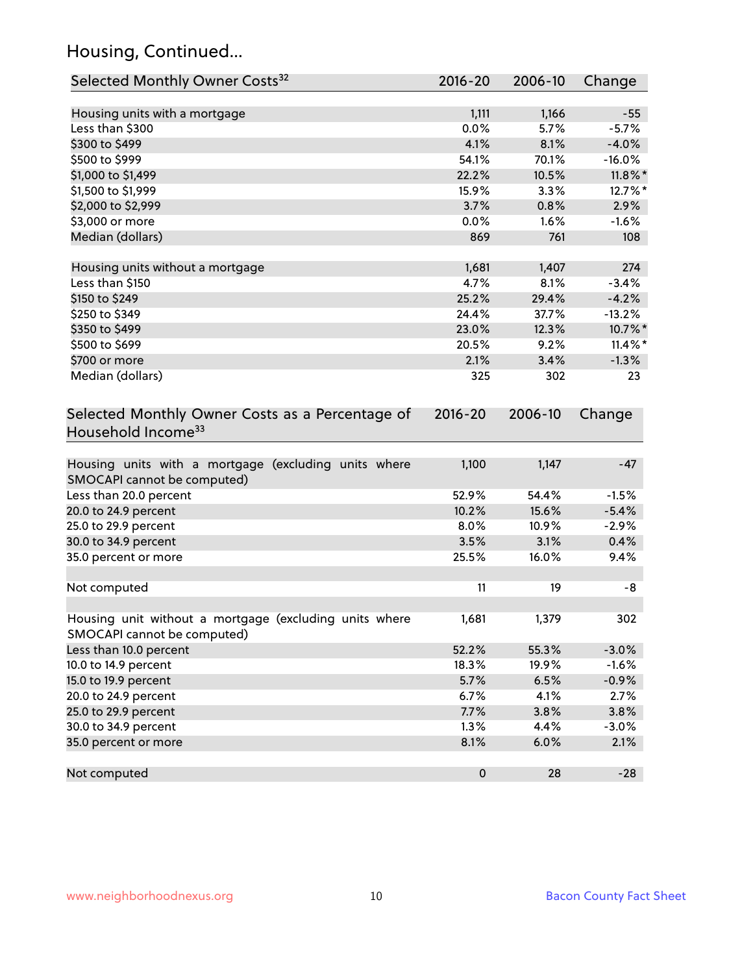## Housing, Continued...

| Selected Monthly Owner Costs <sup>32</sup>                                            | 2016-20   | 2006-10 | Change     |
|---------------------------------------------------------------------------------------|-----------|---------|------------|
| Housing units with a mortgage                                                         | 1,111     | 1,166   | $-55$      |
| Less than \$300                                                                       | 0.0%      | 5.7%    | $-5.7%$    |
| \$300 to \$499                                                                        | 4.1%      | 8.1%    | $-4.0%$    |
| \$500 to \$999                                                                        | 54.1%     | 70.1%   | $-16.0%$   |
| \$1,000 to \$1,499                                                                    | 22.2%     | 10.5%   | $11.8\%$ * |
| \$1,500 to \$1,999                                                                    | 15.9%     | 3.3%    | 12.7%*     |
| \$2,000 to \$2,999                                                                    | 3.7%      | 0.8%    | 2.9%       |
| \$3,000 or more                                                                       | 0.0%      | 1.6%    | $-1.6%$    |
| Median (dollars)                                                                      | 869       | 761     | 108        |
|                                                                                       |           |         |            |
| Housing units without a mortgage                                                      | 1,681     | 1,407   | 274        |
| Less than \$150                                                                       | 4.7%      | 8.1%    | $-3.4%$    |
| \$150 to \$249                                                                        | 25.2%     | 29.4%   | $-4.2%$    |
| \$250 to \$349                                                                        | 24.4%     | 37.7%   | $-13.2%$   |
| \$350 to \$499                                                                        | 23.0%     | 12.3%   | 10.7%*     |
| \$500 to \$699                                                                        | 20.5%     | 9.2%    | $11.4\%$ * |
| \$700 or more                                                                         | 2.1%      | 3.4%    | $-1.3%$    |
| Median (dollars)                                                                      | 325       | 302     | 23         |
| Selected Monthly Owner Costs as a Percentage of<br>Household Income <sup>33</sup>     |           |         | Change     |
| Housing units with a mortgage (excluding units where<br>SMOCAPI cannot be computed)   | 1,100     | 1,147   | $-47$      |
| Less than 20.0 percent                                                                | 52.9%     | 54.4%   | $-1.5%$    |
| 20.0 to 24.9 percent                                                                  | 10.2%     | 15.6%   | $-5.4%$    |
| 25.0 to 29.9 percent                                                                  | 8.0%      | 10.9%   | $-2.9%$    |
| 30.0 to 34.9 percent                                                                  | 3.5%      | 3.1%    | 0.4%       |
| 35.0 percent or more                                                                  | 25.5%     | 16.0%   | 9.4%       |
| Not computed                                                                          | 11        | 19      | -8         |
| Housing unit without a mortgage (excluding units where<br>SMOCAPI cannot be computed) | 1,681     | 1,379   | 302        |
| Less than 10.0 percent                                                                | 52.2%     | 55.3%   | $-3.0%$    |
| 10.0 to 14.9 percent                                                                  | 18.3%     | 19.9%   | $-1.6%$    |
| 15.0 to 19.9 percent                                                                  | 5.7%      | 6.5%    | $-0.9%$    |
| 20.0 to 24.9 percent                                                                  | 6.7%      | 4.1%    | 2.7%       |
| 25.0 to 29.9 percent                                                                  | 7.7%      | 3.8%    | 3.8%       |
| 30.0 to 34.9 percent                                                                  | 1.3%      | 4.4%    | $-3.0%$    |
| 35.0 percent or more                                                                  | 8.1%      | 6.0%    | 2.1%       |
| Not computed                                                                          | $\pmb{0}$ | 28      | $-28$      |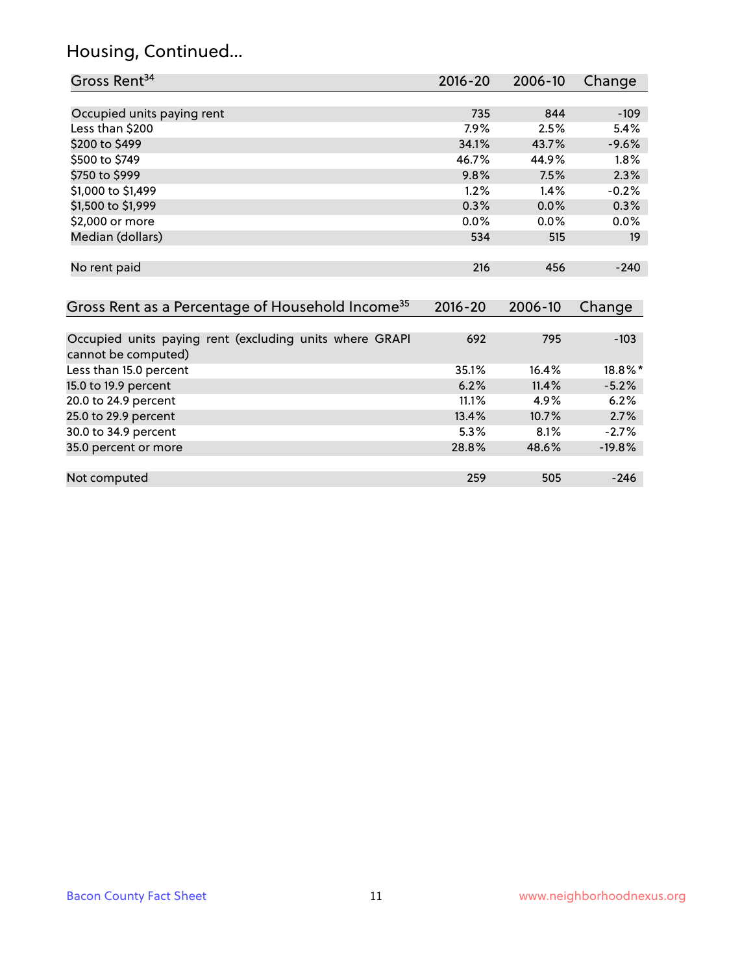## Housing, Continued...

| Gross Rent <sup>34</sup>                                     | 2016-20     | 2006-10 | Change     |
|--------------------------------------------------------------|-------------|---------|------------|
|                                                              |             |         |            |
| Occupied units paying rent                                   | 735         | 844     | $-109$     |
| Less than \$200                                              | 7.9%        | 2.5%    | 5.4%       |
| \$200 to \$499                                               | 34.1%       | 43.7%   | $-9.6%$    |
| \$500 to \$749                                               | 46.7%       | 44.9%   | 1.8%       |
| \$750 to \$999                                               | 9.8%        | 7.5%    | 2.3%       |
| \$1,000 to \$1,499                                           | 1.2%        | 1.4%    | $-0.2%$    |
| \$1,500 to \$1,999                                           | 0.3%        | 0.0%    | 0.3%       |
| \$2,000 or more                                              | 0.0%        | 0.0%    | 0.0%       |
| Median (dollars)                                             | 534         | 515     | 19         |
|                                                              |             |         |            |
| No rent paid                                                 | 216         | 456     | $-240$     |
|                                                              |             |         |            |
| Gross Rent as a Percentage of Household Income <sup>35</sup> | $2016 - 20$ | 2006-10 | Change     |
|                                                              |             |         |            |
| Occupied units paying rent (excluding units where GRAPI      | 692         | 795     | $-103$     |
| cannot be computed)                                          |             |         |            |
| Less than 15.0 percent                                       | 35.1%       | 16.4%   | $18.8\%$ * |
| 15.0 to 19.9 percent                                         | 6.2%        | 11.4%   | $-5.2%$    |
| 20.0 to 24.9 percent                                         | 11.1%       | 4.9%    | 6.2%       |
| 25.0 to 29.9 percent                                         | 13.4%       | 10.7%   | 2.7%       |
| 30.0 to 34.9 percent                                         | 5.3%        | 8.1%    | $-2.7%$    |
| 35.0 percent or more                                         | 28.8%       | 48.6%   | $-19.8%$   |
|                                                              |             |         |            |
| Not computed                                                 | 259         | 505     | $-246$     |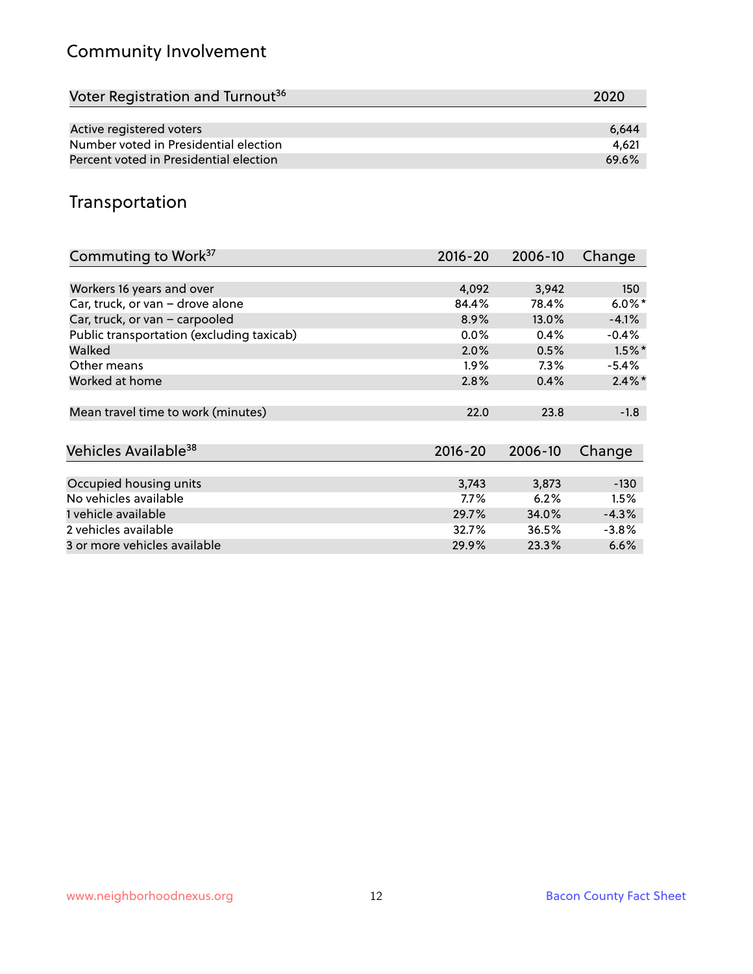## Community Involvement

| Voter Registration and Turnout <sup>36</sup> | 2020  |
|----------------------------------------------|-------|
|                                              |       |
| Active registered voters                     | 6.644 |
| Number voted in Presidential election        | 4.621 |
| Percent voted in Presidential election       | 69.6% |

## Transportation

| Commuting to Work <sup>37</sup>           | 2016-20     | 2006-10 | Change    |
|-------------------------------------------|-------------|---------|-----------|
|                                           |             |         |           |
| Workers 16 years and over                 | 4,092       | 3,942   | 150       |
| Car, truck, or van - drove alone          | 84.4%       | 78.4%   | $6.0\%$ * |
| Car, truck, or van - carpooled            | 8.9%        | 13.0%   | $-4.1%$   |
| Public transportation (excluding taxicab) | $0.0\%$     | 0.4%    | $-0.4%$   |
| Walked                                    | 2.0%        | 0.5%    | $1.5\%$ * |
| Other means                               | $1.9\%$     | $7.3\%$ | $-5.4%$   |
| Worked at home                            | 2.8%        | 0.4%    | $2.4\%$ * |
| Mean travel time to work (minutes)        | 22.0        | 23.8    | $-1.8$    |
| Vehicles Available <sup>38</sup>          | $2016 - 20$ | 2006-10 | Change    |
| Occupied housing units                    | 3,743       | 3,873   | $-130$    |
| No vehicles available                     | 7.7%        | 6.2%    | 1.5%      |
| 1 vehicle available                       | 29.7%       | 34.0%   | $-4.3%$   |
| 2 vehicles available                      | 32.7%       | 36.5%   | $-3.8%$   |
| 3 or more vehicles available              | 29.9%       | 23.3%   | 6.6%      |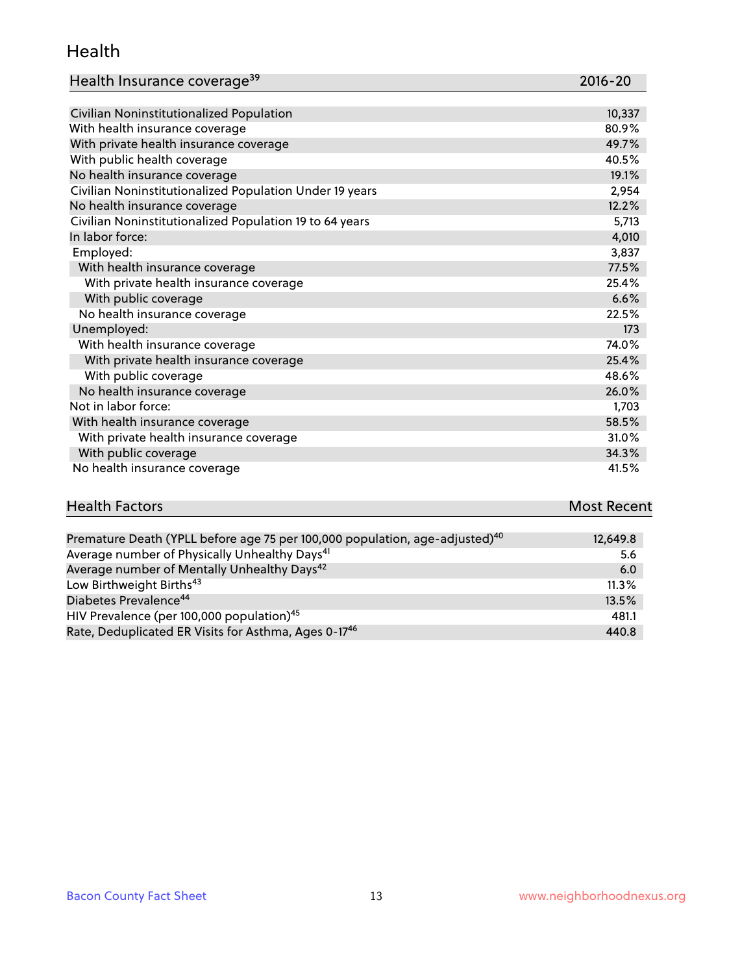#### Health

| Health Insurance coverage <sup>39</sup> | 2016-20 |
|-----------------------------------------|---------|
|-----------------------------------------|---------|

| Civilian Noninstitutionalized Population                | 10,337 |
|---------------------------------------------------------|--------|
| With health insurance coverage                          | 80.9%  |
| With private health insurance coverage                  | 49.7%  |
| With public health coverage                             | 40.5%  |
| No health insurance coverage                            | 19.1%  |
| Civilian Noninstitutionalized Population Under 19 years | 2,954  |
| No health insurance coverage                            | 12.2%  |
| Civilian Noninstitutionalized Population 19 to 64 years | 5,713  |
| In labor force:                                         | 4,010  |
| Employed:                                               | 3,837  |
| With health insurance coverage                          | 77.5%  |
| With private health insurance coverage                  | 25.4%  |
| With public coverage                                    | 6.6%   |
| No health insurance coverage                            | 22.5%  |
| Unemployed:                                             | 173    |
| With health insurance coverage                          | 74.0%  |
| With private health insurance coverage                  | 25.4%  |
| With public coverage                                    | 48.6%  |
| No health insurance coverage                            | 26.0%  |
| Not in labor force:                                     | 1,703  |
| With health insurance coverage                          | 58.5%  |
| With private health insurance coverage                  | 31.0%  |
| With public coverage                                    | 34.3%  |
| No health insurance coverage                            | 41.5%  |

# **Health Factors Most Recent** And The Control of the Control of The Control of The Control of The Control of The Control of The Control of The Control of The Control of The Control of The Control of The Control of The Contr

| Premature Death (YPLL before age 75 per 100,000 population, age-adjusted) <sup>40</sup> | 12,649.8 |
|-----------------------------------------------------------------------------------------|----------|
| Average number of Physically Unhealthy Days <sup>41</sup>                               | 5.6      |
| Average number of Mentally Unhealthy Days <sup>42</sup>                                 | 6.0      |
| Low Birthweight Births <sup>43</sup>                                                    | 11.3%    |
| Diabetes Prevalence <sup>44</sup>                                                       | 13.5%    |
| HIV Prevalence (per 100,000 population) <sup>45</sup>                                   | 481.1    |
| Rate, Deduplicated ER Visits for Asthma, Ages 0-17 <sup>46</sup>                        | 440.8    |